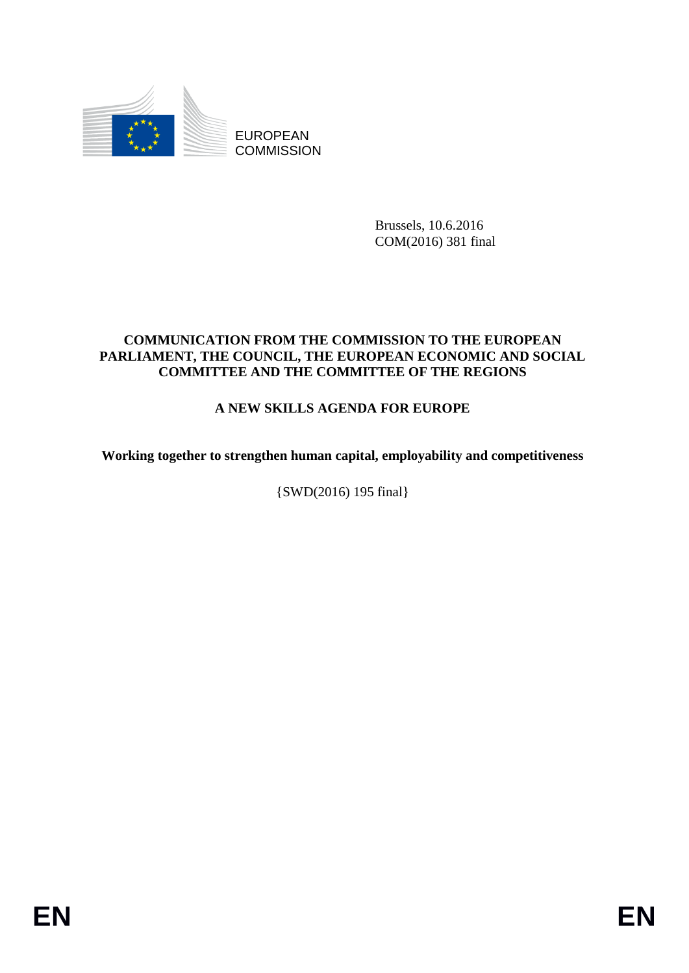

EUROPEAN **COMMISSION** 

> Brussels, 10.6.2016 COM(2016) 381 final

## **COMMUNICATION FROM THE COMMISSION TO THE EUROPEAN PARLIAMENT, THE COUNCIL, THE EUROPEAN ECONOMIC AND SOCIAL COMMITTEE AND THE COMMITTEE OF THE REGIONS**

# **A NEW SKILLS AGENDA FOR EUROPE**

**Working together to strengthen human capital, employability and competitiveness**

{SWD(2016) 195 final}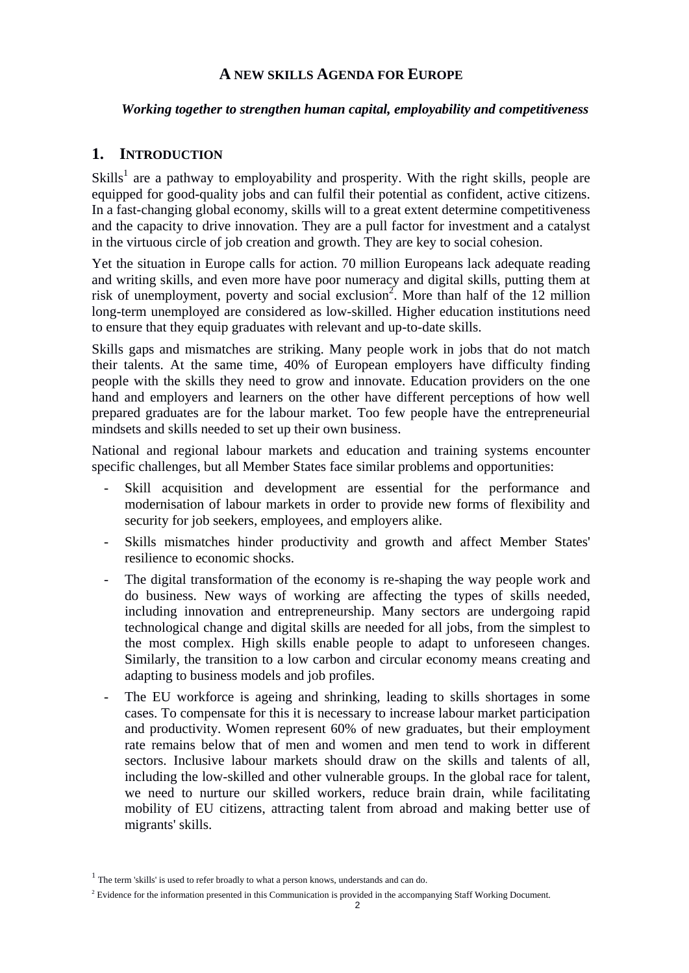## **A NEW SKILLS AGENDA FOR EUROPE**

#### *Working together to strengthen human capital, employability and competitiveness*

## **1. INTRODUCTION**

Skills<sup>1</sup> are a pathway to employability and prosperity. With the right skills, people are equipped for good-quality jobs and can fulfil their potential as confident, active citizens. In a fast-changing global economy, skills will to a great extent determine competitiveness and the capacity to drive innovation. They are a pull factor for investment and a catalyst in the virtuous circle of job creation and growth. They are key to social cohesion.

Yet the situation in Europe calls for action. 70 million Europeans lack adequate reading and writing skills, and even more have poor numeracy and digital skills, putting them at risk of unemployment, poverty and social exclusion<sup>2</sup>. More than half of the 12 million long-term unemployed are considered as low-skilled. Higher education institutions need to ensure that they equip graduates with relevant and up-to-date skills.

Skills gaps and mismatches are striking. Many people work in jobs that do not match their talents. At the same time, 40% of European employers have difficulty finding people with the skills they need to grow and innovate. Education providers on the one hand and employers and learners on the other have different perceptions of how well prepared graduates are for the labour market. Too few people have the entrepreneurial mindsets and skills needed to set up their own business.

National and regional labour markets and education and training systems encounter specific challenges, but all Member States face similar problems and opportunities:

- Skill acquisition and development are essential for the performance and modernisation of labour markets in order to provide new forms of flexibility and security for job seekers, employees, and employers alike.
- Skills mismatches hinder productivity and growth and affect Member States' resilience to economic shocks.
- The digital transformation of the economy is re-shaping the way people work and do business. New ways of working are affecting the types of skills needed, including innovation and entrepreneurship. Many sectors are undergoing rapid technological change and digital skills are needed for all jobs, from the simplest to the most complex. High skills enable people to adapt to unforeseen changes. Similarly, the transition to a low carbon and circular economy means creating and adapting to business models and job profiles.
- The EU workforce is ageing and shrinking, leading to skills shortages in some cases. To compensate for this it is necessary to increase labour market participation and productivity. Women represent 60% of new graduates, but their employment rate remains below that of men and women and men tend to work in different sectors. Inclusive labour markets should draw on the skills and talents of all, including the low-skilled and other vulnerable groups. In the global race for talent, we need to nurture our skilled workers, reduce brain drain, while facilitating mobility of EU citizens, attracting talent from abroad and making better use of migrants' skills.

 $<sup>1</sup>$  The term 'skills' is used to refer broadly to what a person knows, understands and can do.</sup>

<sup>&</sup>lt;sup>2</sup> Evidence for the information presented in this Communication is provided in the accompanying Staff Working Document.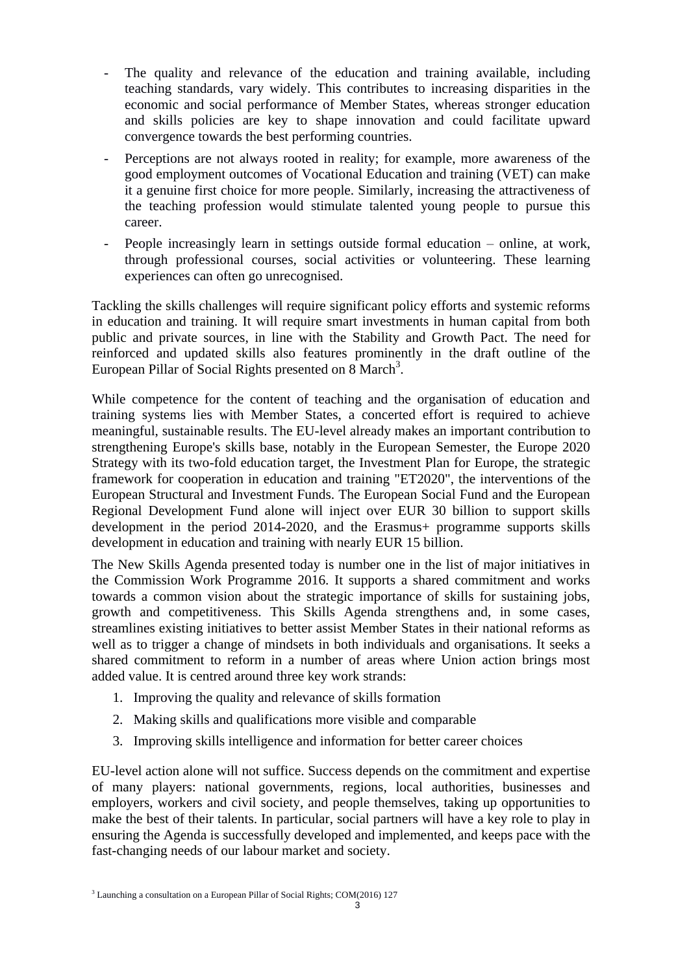- The quality and relevance of the education and training available, including teaching standards, vary widely. This contributes to increasing disparities in the economic and social performance of Member States, whereas stronger education and skills policies are key to shape innovation and could facilitate upward convergence towards the best performing countries.
- Perceptions are not always rooted in reality; for example, more awareness of the good employment outcomes of Vocational Education and training (VET) can make it a genuine first choice for more people. Similarly, increasing the attractiveness of the teaching profession would stimulate talented young people to pursue this career.
- People increasingly learn in settings outside formal education online, at work, through professional courses, social activities or volunteering. These learning experiences can often go unrecognised.

Tackling the skills challenges will require significant policy efforts and systemic reforms in education and training. It will require smart investments in human capital from both public and private sources, in line with the Stability and Growth Pact. The need for reinforced and updated skills also features prominently in the draft outline of the European Pillar of Social Rights presented on  $8$  March<sup>3</sup>.

While competence for the content of teaching and the organisation of education and training systems lies with Member States, a concerted effort is required to achieve meaningful, sustainable results. The EU-level already makes an important contribution to strengthening Europe's skills base, notably in the European Semester, the Europe 2020 Strategy with its two-fold education target, the Investment Plan for Europe, the strategic framework for cooperation in education and training "ET2020", the interventions of the European Structural and Investment Funds. The European Social Fund and the European Regional Development Fund alone will inject over EUR 30 billion to support skills development in the period 2014-2020, and the Erasmus+ programme supports skills development in education and training with nearly EUR 15 billion.

The New Skills Agenda presented today is number one in the list of major initiatives in the Commission Work Programme 2016. It supports a shared commitment and works towards a common vision about the strategic importance of skills for sustaining jobs, growth and competitiveness. This Skills Agenda strengthens and, in some cases, streamlines existing initiatives to better assist Member States in their national reforms as well as to trigger a change of mindsets in both individuals and organisations. It seeks a shared commitment to reform in a number of areas where Union action brings most added value. It is centred around three key work strands:

- 1. Improving the quality and relevance of skills formation
- 2. Making skills and qualifications more visible and comparable
- 3. Improving skills intelligence and information for better career choices

EU-level action alone will not suffice. Success depends on the commitment and expertise of many players: national governments, regions, local authorities, businesses and employers, workers and civil society, and people themselves, taking up opportunities to make the best of their talents. In particular, social partners will have a key role to play in ensuring the Agenda is successfully developed and implemented, and keeps pace with the fast-changing needs of our labour market and society.

<sup>&</sup>lt;sup>3</sup> Launching a consultation on a European Pillar of Social Rights; COM(2016) 127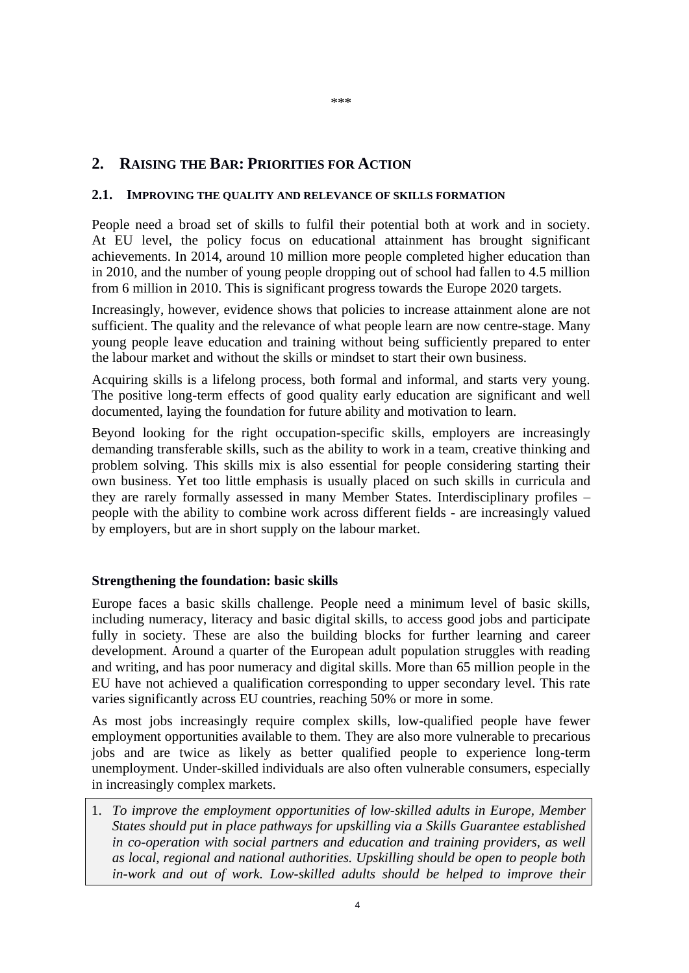## **2. RAISING THE BAR: PRIORITIES FOR ACTION**

#### **2.1. IMPROVING THE QUALITY AND RELEVANCE OF SKILLS FORMATION**

People need a broad set of skills to fulfil their potential both at work and in society. At EU level, the policy focus on educational attainment has brought significant achievements. In 2014, around 10 million more people completed higher education than in 2010, and the number of young people dropping out of school had fallen to 4.5 million from 6 million in 2010. This is significant progress towards the Europe 2020 targets.

Increasingly, however, evidence shows that policies to increase attainment alone are not sufficient. The quality and the relevance of what people learn are now centre-stage. Many young people leave education and training without being sufficiently prepared to enter the labour market and without the skills or mindset to start their own business.

Acquiring skills is a lifelong process, both formal and informal, and starts very young. The positive long-term effects of good quality early education are significant and well documented, laying the foundation for future ability and motivation to learn.

Beyond looking for the right occupation-specific skills, employers are increasingly demanding transferable skills, such as the ability to work in a team, creative thinking and problem solving. This skills mix is also essential for people considering starting their own business. Yet too little emphasis is usually placed on such skills in curricula and they are rarely formally assessed in many Member States. Interdisciplinary profiles – people with the ability to combine work across different fields - are increasingly valued by employers, but are in short supply on the labour market.

#### **Strengthening the foundation: basic skills**

Europe faces a basic skills challenge. People need a minimum level of basic skills, including numeracy, literacy and basic digital skills, to access good jobs and participate fully in society. These are also the building blocks for further learning and career development. Around a quarter of the European adult population struggles with reading and writing, and has poor numeracy and digital skills. More than 65 million people in the EU have not achieved a qualification corresponding to upper secondary level. This rate varies significantly across EU countries, reaching 50% or more in some.

As most jobs increasingly require complex skills, low-qualified people have fewer employment opportunities available to them. They are also more vulnerable to precarious jobs and are twice as likely as better qualified people to experience long-term unemployment. Under-skilled individuals are also often vulnerable consumers, especially in increasingly complex markets.

1. *To improve the employment opportunities of low-skilled adults in Europe, Member States should put in place pathways for upskilling via a Skills Guarantee established in co-operation with social partners and education and training providers, as well as local, regional and national authorities. Upskilling should be open to people both in-work and out of work. Low-skilled adults should be helped to improve their*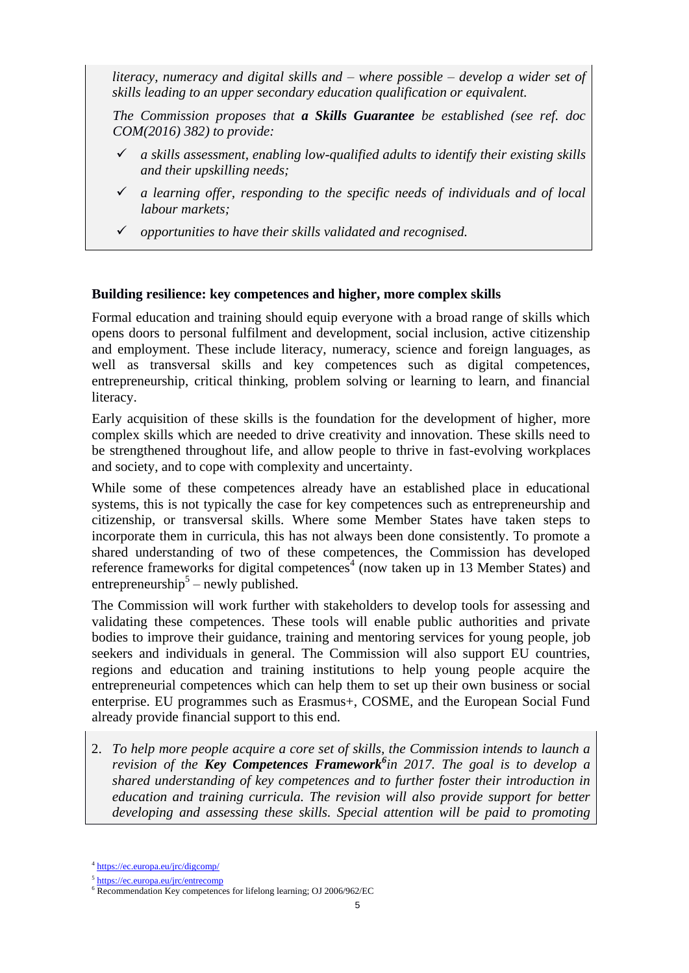*literacy, numeracy and digital skills and – where possible – develop a wider set of skills leading to an upper secondary education qualification or equivalent.*

*The Commission proposes that a Skills Guarantee be established (see ref. doc COM(2016) 382) to provide:* 

- *a skills assessment, enabling low-qualified adults to identify their existing skills and their upskilling needs;*
- *a learning offer, responding to the specific needs of individuals and of local labour markets;*
- *opportunities to have their skills validated and recognised.*

### **Building resilience: key competences and higher, more complex skills**

Formal education and training should equip everyone with a broad range of skills which opens doors to personal fulfilment and development, social inclusion, active citizenship and employment. These include literacy, numeracy, science and foreign languages, as well as transversal skills and key competences such as digital competences, entrepreneurship, critical thinking, problem solving or learning to learn, and financial literacy.

Early acquisition of these skills is the foundation for the development of higher, more complex skills which are needed to drive creativity and innovation. These skills need to be strengthened throughout life, and allow people to thrive in fast-evolving workplaces and society, and to cope with complexity and uncertainty.

While some of these competences already have an established place in educational systems, this is not typically the case for key competences such as entrepreneurship and citizenship, or transversal skills. Where some Member States have taken steps to incorporate them in curricula, this has not always been done consistently. To promote a shared understanding of two of these competences, the Commission has developed reference frameworks for digital competences<sup>4</sup> (now taken up in 13 Member States) and entrepreneurship<sup>5</sup> – newly published.

The Commission will work further with stakeholders to develop tools for assessing and validating these competences. These tools will enable public authorities and private bodies to improve their guidance, training and mentoring services for young people, job seekers and individuals in general. The Commission will also support EU countries, regions and education and training institutions to help young people acquire the entrepreneurial competences which can help them to set up their own business or social enterprise. EU programmes such as Erasmus+, COSME, and the European Social Fund already provide financial support to this end.

2. *To help more people acquire a core set of skills, the Commission intends to launch a revision of the Key Competences Framework<sup>6</sup> in 2017. The goal is to develop a shared understanding of key competences and to further foster their introduction in education and training curricula. The revision will also provide support for better developing and assessing these skills. Special attention will be paid to promoting* 

<sup>&</sup>lt;sup>4</sup> <https://ec.europa.eu/jrc/digcomp/>

<sup>&</sup>lt;sup>5</sup> <https://ec.europa.eu/jrc/entrecomp>

<sup>&</sup>lt;sup>6</sup> Recommendation Key competences for lifelong learning; OJ 2006/962/EC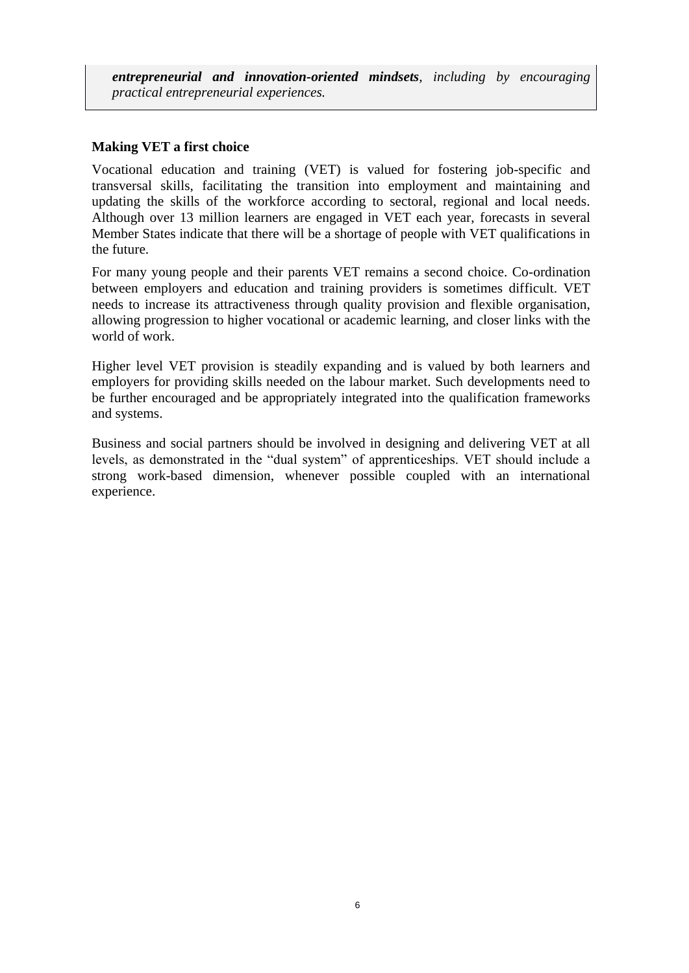*entrepreneurial and innovation-oriented mindsets, including by encouraging practical entrepreneurial experiences.*

### **Making VET a first choice**

Vocational education and training (VET) is valued for fostering job-specific and transversal skills, facilitating the transition into employment and maintaining and updating the skills of the workforce according to sectoral, regional and local needs. Although over 13 million learners are engaged in VET each year, forecasts in several Member States indicate that there will be a shortage of people with VET qualifications in the future.

For many young people and their parents VET remains a second choice. Co-ordination between employers and education and training providers is sometimes difficult. VET needs to increase its attractiveness through quality provision and flexible organisation, allowing progression to higher vocational or academic learning, and closer links with the world of work.

Higher level VET provision is steadily expanding and is valued by both learners and employers for providing skills needed on the labour market. Such developments need to be further encouraged and be appropriately integrated into the qualification frameworks and systems.

Business and social partners should be involved in designing and delivering VET at all levels, as demonstrated in the "dual system" of apprenticeships. VET should include a strong work-based dimension, whenever possible coupled with an international experience.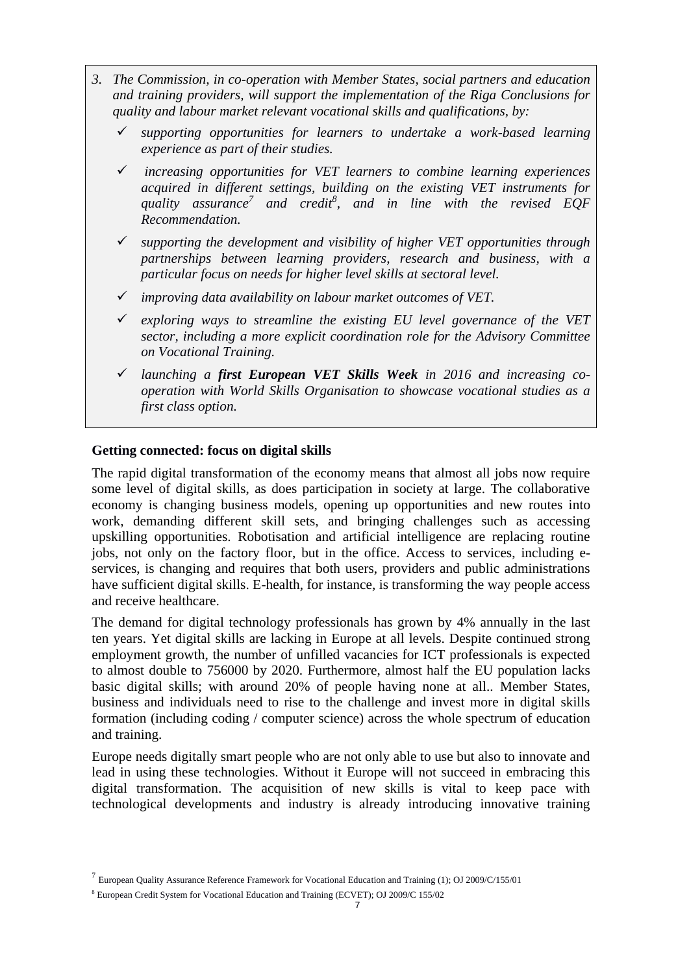- *3. The Commission, in co-operation with Member States, social partners and education and training providers, will support the implementation of the Riga Conclusions for quality and labour market relevant vocational skills and qualifications, by:*
	- *supporting opportunities for learners to undertake a work-based learning experience as part of their studies.*
	- *increasing opportunities for VET learners to combine learning experiences acquired in different settings, building on the existing VET instruments for quality assurance<sup>7</sup> and credit<sup>8</sup> , and in line with the revised EQF Recommendation.*
	- *supporting the development and visibility of higher VET opportunities through partnerships between learning providers, research and business, with a particular focus on needs for higher level skills at sectoral level.*
	- *improving data availability on labour market outcomes of VET.*
	- *exploring ways to streamline the existing EU level governance of the VET sector, including a more explicit coordination role for the Advisory Committee on Vocational Training.*
	- *launching a first European VET Skills Week in 2016 and increasing cooperation with World Skills Organisation to showcase vocational studies as a first class option.*

### **Getting connected: focus on digital skills**

The rapid digital transformation of the economy means that almost all jobs now require some level of digital skills, as does participation in society at large. The collaborative economy is changing business models, opening up opportunities and new routes into work, demanding different skill sets, and bringing challenges such as accessing upskilling opportunities. Robotisation and artificial intelligence are replacing routine jobs, not only on the factory floor, but in the office. Access to services, including eservices, is changing and requires that both users, providers and public administrations have sufficient digital skills. E-health, for instance, is transforming the way people access and receive healthcare.

The demand for digital technology professionals has grown by 4% annually in the last ten years. Yet digital skills are lacking in Europe at all levels. Despite continued strong employment growth, the number of unfilled vacancies for ICT professionals is expected to almost double to 756000 by 2020. Furthermore, almost half the EU population lacks basic digital skills; with around 20% of people having none at all.. Member States, business and individuals need to rise to the challenge and invest more in digital skills formation (including coding / computer science) across the whole spectrum of education and training.

Europe needs digitally smart people who are not only able to use but also to innovate and lead in using these technologies. Without it Europe will not succeed in embracing this digital transformation. The acquisition of new skills is vital to keep pace with technological developments and industry is already introducing innovative training

<sup>&</sup>lt;sup>7</sup> European Quality Assurance Reference Framework for Vocational Education and Training (1); OJ 2009/C/155/01

<sup>8</sup> European Credit System for Vocational Education and Training (ECVET); OJ 2009/C 155/02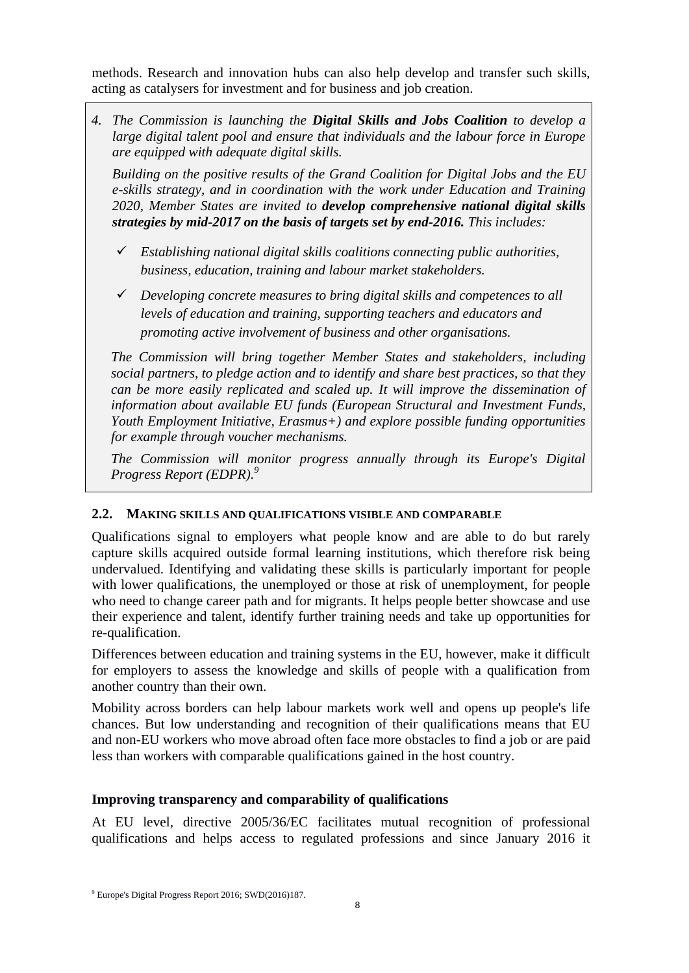methods. Research and innovation hubs can also help develop and transfer such skills, acting as catalysers for investment and for business and job creation.

*4. The Commission is launching the Digital Skills and Jobs Coalition to develop a large digital talent pool and ensure that individuals and the labour force in Europe are equipped with adequate digital skills.* 

*Building on the positive results of the Grand Coalition for Digital Jobs and the EU e-skills strategy, and in coordination with the work under Education and Training 2020, Member States are invited to develop comprehensive national digital skills strategies by mid-2017 on the basis of targets set by end-2016. This includes:*

- *Establishing national digital skills coalitions connecting public authorities, business, education, training and labour market stakeholders.*
- *Developing concrete measures to bring digital skills and competences to all levels of education and training, supporting teachers and educators and promoting active involvement of business and other organisations.*

*The Commission will bring together Member States and stakeholders, including social partners, to pledge action and to identify and share best practices, so that they can be more easily replicated and scaled up. It will improve the dissemination of information about available EU funds (European Structural and Investment Funds, Youth Employment Initiative, Erasmus+) and explore possible funding opportunities for example through voucher mechanisms.*

*The Commission will monitor progress annually through its Europe's Digital Progress Report (EDPR). 9*

## **2.2. MAKING SKILLS AND QUALIFICATIONS VISIBLE AND COMPARABLE**

Qualifications signal to employers what people know and are able to do but rarely capture skills acquired outside formal learning institutions, which therefore risk being undervalued. Identifying and validating these skills is particularly important for people with lower qualifications, the unemployed or those at risk of unemployment, for people who need to change career path and for migrants. It helps people better showcase and use their experience and talent, identify further training needs and take up opportunities for re-qualification.

Differences between education and training systems in the EU, however, make it difficult for employers to assess the knowledge and skills of people with a qualification from another country than their own.

Mobility across borders can help labour markets work well and opens up people's life chances. But low understanding and recognition of their qualifications means that EU and non-EU workers who move abroad often face more obstacles to find a job or are paid less than workers with comparable qualifications gained in the host country.

# **Improving transparency and comparability of qualifications**

At EU level, directive 2005/36/EC facilitates mutual recognition of professional qualifications and helps access to regulated professions and since January 2016 it

<sup>9</sup> Europe's Digital Progress Report 2016; SWD(2016)187.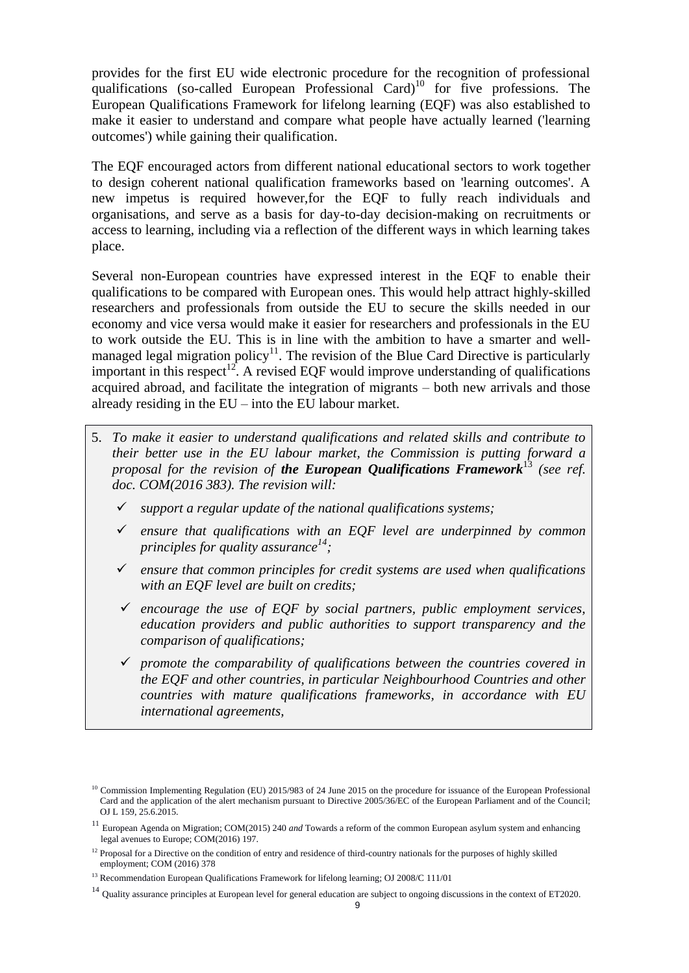provides for the first EU wide electronic procedure for the recognition of professional qualifications (so-called European Professional Card)<sup>10</sup> for five professions. The European Qualifications Framework for lifelong learning (EQF) was also established to make it easier to understand and compare what people have actually learned ('learning outcomes') while gaining their qualification.

The EQF encouraged actors from different national educational sectors to work together to design coherent national qualification frameworks based on 'learning outcomes'. A new impetus is required however,for the EQF to fully reach individuals and organisations, and serve as a basis for day-to-day decision-making on recruitments or access to learning, including via a reflection of the different ways in which learning takes place.

Several non-European countries have expressed interest in the EQF to enable their qualifications to be compared with European ones. This would help attract highly-skilled researchers and professionals from outside the EU to secure the skills needed in our economy and vice versa would make it easier for researchers and professionals in the EU to work outside the EU. This is in line with the ambition to have a smarter and wellmanaged legal migration policy<sup>11</sup>. The revision of the Blue Card Directive is particularly important in this respect<sup>12</sup>. A revised EQF would improve understanding of qualifications acquired abroad, and facilitate the integration of migrants – both new arrivals and those already residing in the EU – into the EU labour market.

- 5. *To make it easier to understand qualifications and related skills and contribute to their better use in the EU labour market, the Commission is putting forward a proposal for the revision of the European Qualifications Framework*<sup>13</sup> *(see ref. doc. COM(2016 383). The revision will:*
	- *support a regular update of the national qualifications systems;*
	- *ensure that qualifications with an EQF level are underpinned by common principles for quality assurance<sup>14</sup> ;*
	- *ensure that common principles for credit systems are used when qualifications with an EQF level are built on credits;*
	- *encourage the use of EQF by social partners, public employment services, education providers and public authorities to support transparency and the comparison of qualifications;*
	- *promote the comparability of qualifications between the countries covered in the EQF and other countries, in particular Neighbourhood Countries and other countries with mature qualifications frameworks, in accordance with EU international agreements,*

<sup>&</sup>lt;sup>10</sup> Commission Implementing Regulation (EU) 2015/983 of 24 June 2015 on the procedure for issuance of the European Professional Card and the application of the alert mechanism pursuant to Directive 2005/36/EC of the European Parliament and of the Council; OJ L 159, 25.6.2015.

<sup>11</sup> European Agenda on Migration; COM(2015) 240 *and* Towards a reform of the common European asylum system and enhancing legal avenues to Europe; COM(2016) 197.

 $12$  Proposal for a Directive on the condition of entry and residence of third-country nationals for the purposes of highly skilled employment; COM (2016) 378

<sup>&</sup>lt;sup>13</sup> Recommendation European Qualifications Framework for lifelong learning; OJ 2008/C 111/01

<sup>&</sup>lt;sup>14</sup> Quality assurance principles at European level for general education are subject to ongoing discussions in the context of ET2020.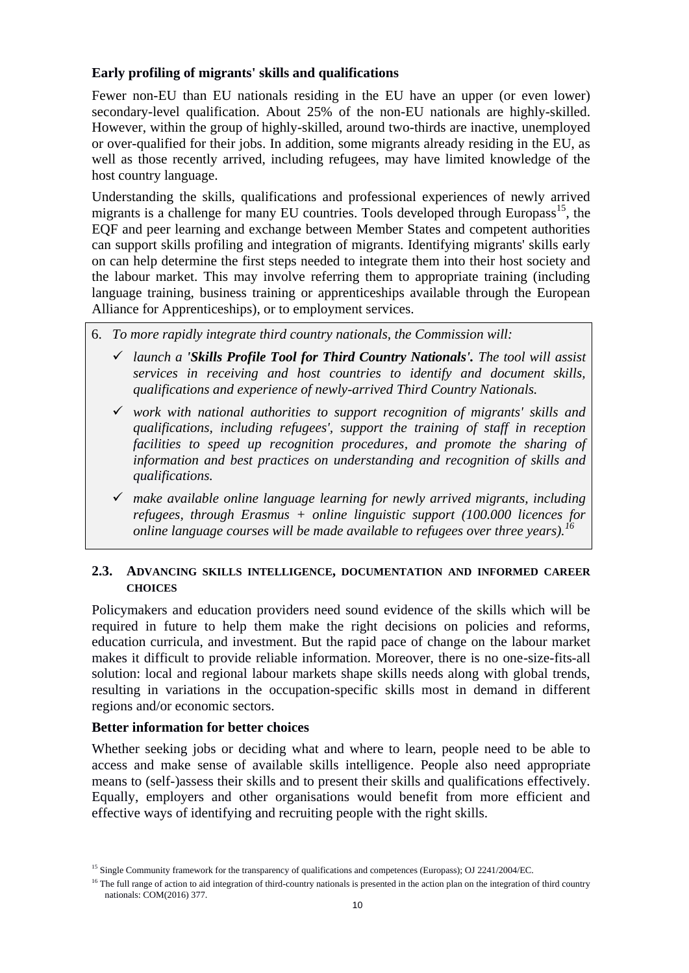## **Early profiling of migrants' skills and qualifications**

Fewer non-EU than EU nationals residing in the EU have an upper (or even lower) secondary-level qualification. About 25% of the non-EU nationals are highly-skilled. However, within the group of highly-skilled, around two-thirds are inactive, unemployed or over-qualified for their jobs. In addition, some migrants already residing in the EU, as well as those recently arrived, including refugees, may have limited knowledge of the host country language.

Understanding the skills, qualifications and professional experiences of newly arrived migrants is a challenge for many EU countries. Tools developed through Europass<sup>15</sup>, the EQF and peer learning and exchange between Member States and competent authorities can support skills profiling and integration of migrants. Identifying migrants' skills early on can help determine the first steps needed to integrate them into their host society and the labour market. This may involve referring them to appropriate training (including language training, business training or apprenticeships available through the European Alliance for Apprenticeships), or to employment services.

- 6. *To more rapidly integrate third country nationals, the Commission will:*
	- *launch a 'Skills Profile Tool for Third Country Nationals'. The tool will assist services in receiving and host countries to identify and document skills, qualifications and experience of newly-arrived Third Country Nationals.*
	- *work with national authorities to support recognition of migrants' skills and qualifications, including refugees', support the training of staff in reception facilities to speed up recognition procedures, and promote the sharing of information and best practices on understanding and recognition of skills and qualifications.*
	- *make available online language learning for newly arrived migrants, including refugees, through Erasmus + online linguistic support (100.000 licences for online language courses will be made available to refugees over three years).*<sup>1</sup>

#### **2.3. ADVANCING SKILLS INTELLIGENCE, DOCUMENTATION AND INFORMED CAREER CHOICES**

Policymakers and education providers need sound evidence of the skills which will be required in future to help them make the right decisions on policies and reforms, education curricula, and investment. But the rapid pace of change on the labour market makes it difficult to provide reliable information. Moreover, there is no one-size-fits-all solution: local and regional labour markets shape skills needs along with global trends, resulting in variations in the occupation-specific skills most in demand in different regions and/or economic sectors.

#### **Better information for better choices**

Whether seeking jobs or deciding what and where to learn, people need to be able to access and make sense of available skills intelligence. People also need appropriate means to (self-)assess their skills and to present their skills and qualifications effectively. Equally, employers and other organisations would benefit from more efficient and effective ways of identifying and recruiting people with the right skills.

<sup>&</sup>lt;sup>15</sup> Single Community framework for the transparency of qualifications and competences (Europass); OJ 2241/2004/EC.

<sup>&</sup>lt;sup>16</sup> The full range of action to aid integration of third-country nationals is presented in the action plan on the integration of third country nationals: COM(2016) 377.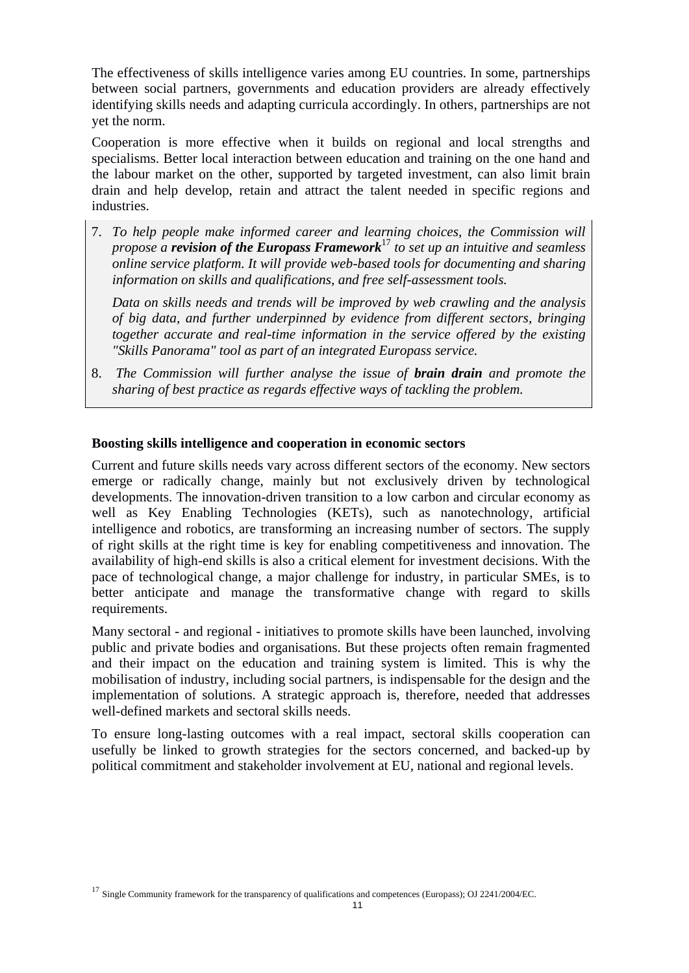The effectiveness of skills intelligence varies among EU countries. In some, partnerships between social partners, governments and education providers are already effectively identifying skills needs and adapting curricula accordingly. In others, partnerships are not yet the norm.

Cooperation is more effective when it builds on regional and local strengths and specialisms. Better local interaction between education and training on the one hand and the labour market on the other, supported by targeted investment, can also limit brain drain and help develop, retain and attract the talent needed in specific regions and industries.

7. *To help people make informed career and learning choices, the Commission will propose a revision of the Europass Framework*<sup>17</sup> *to set up an intuitive and seamless online service platform. It will provide web-based tools for documenting and sharing information on skills and qualifications, and free self-assessment tools.* 

*Data on skills needs and trends will be improved by web crawling and the analysis of big data, and further underpinned by evidence from different sectors, bringing together accurate and real-time information in the service offered by the existing "Skills Panorama" tool as part of an integrated Europass service.*

8. *The Commission will further analyse the issue of brain drain and promote the sharing of best practice as regards effective ways of tackling the problem.*

#### **Boosting skills intelligence and cooperation in economic sectors**

Current and future skills needs vary across different sectors of the economy. New sectors emerge or radically change, mainly but not exclusively driven by technological developments. The innovation-driven transition to a low carbon and circular economy as well as Key Enabling Technologies (KETs), such as nanotechnology, artificial intelligence and robotics, are transforming an increasing number of sectors. The supply of right skills at the right time is key for enabling competitiveness and innovation. The availability of high-end skills is also a critical element for investment decisions. With the pace of technological change, a major challenge for industry, in particular SMEs, is to better anticipate and manage the transformative change with regard to skills requirements.

Many sectoral - and regional - initiatives to promote skills have been launched, involving public and private bodies and organisations. But these projects often remain fragmented and their impact on the education and training system is limited. This is why the mobilisation of industry, including social partners, is indispensable for the design and the implementation of solutions. A strategic approach is, therefore, needed that addresses well-defined markets and sectoral skills needs.

To ensure long-lasting outcomes with a real impact, sectoral skills cooperation can usefully be linked to growth strategies for the sectors concerned, and backed-up by political commitment and stakeholder involvement at EU, national and regional levels.

<sup>&</sup>lt;sup>17</sup> Single Community framework for the transparency of qualifications and competences (Europass); OJ 2241/2004/EC.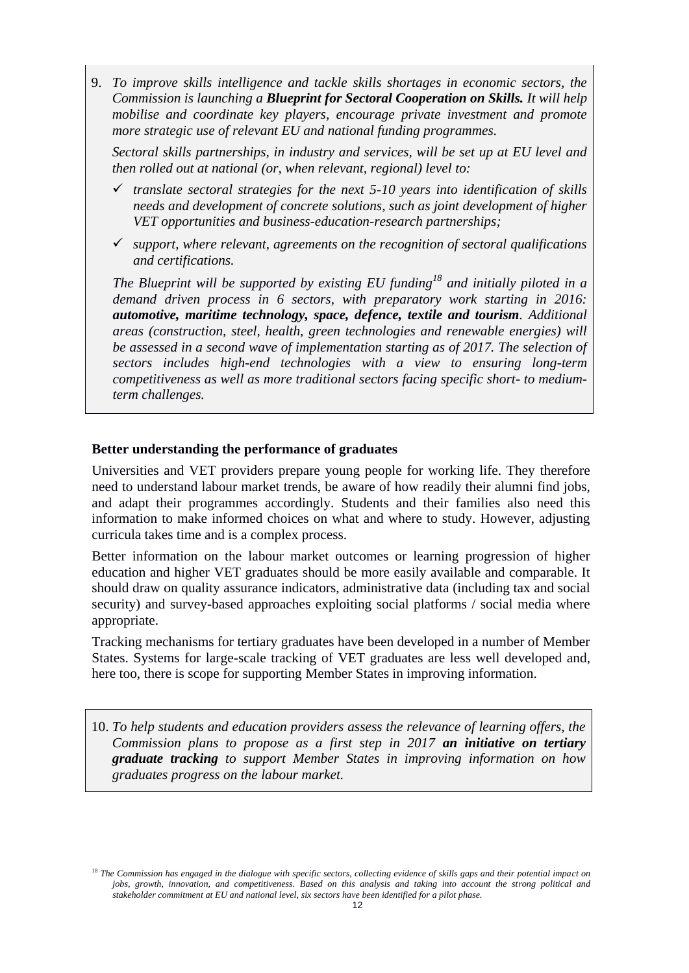9. *To improve skills intelligence and tackle skills shortages in economic sectors, the Commission is launching a Blueprint for Sectoral Cooperation on Skills. It will help mobilise and coordinate key players, encourage private investment and promote more strategic use of relevant EU and national funding programmes.*

*Sectoral skills partnerships, in industry and services, will be set up at EU level and then rolled out at national (or, when relevant, regional) level to:*

- *translate sectoral strategies for the next 5-10 years into identification of skills needs and development of concrete solutions, such as joint development of higher VET opportunities and business-education-research partnerships;*
- *support, where relevant, agreements on the recognition of sectoral qualifications and certifications.*

*The Blueprint will be supported by existing EU funding<sup>18</sup> and initially piloted in a demand driven process in 6 sectors, with preparatory work starting in 2016: automotive, maritime technology, space, defence, textile and tourism. Additional areas (construction, steel, health, green technologies and renewable energies) will*  be assessed in a second wave of implementation starting as of 2017. The selection of *sectors includes high-end technologies with a view to ensuring long-term competitiveness as well as more traditional sectors facing specific short- to mediumterm challenges.*

#### **Better understanding the performance of graduates**

Universities and VET providers prepare young people for working life. They therefore need to understand labour market trends, be aware of how readily their alumni find jobs, and adapt their programmes accordingly. Students and their families also need this information to make informed choices on what and where to study. However, adjusting curricula takes time and is a complex process.

Better information on the labour market outcomes or learning progression of higher education and higher VET graduates should be more easily available and comparable. It should draw on quality assurance indicators, administrative data (including tax and social security) and survey-based approaches exploiting social platforms / social media where appropriate.

Tracking mechanisms for tertiary graduates have been developed in a number of Member States. Systems for large-scale tracking of VET graduates are less well developed and, here too, there is scope for supporting Member States in improving information.

10. *To help students and education providers assess the relevance of learning offers, the Commission plans to propose as a first step in 2017 an initiative on tertiary graduate tracking to support Member States in improving information on how graduates progress on the labour market.* 

<sup>&</sup>lt;sup>18</sup> The Commission has engaged in the dialogue with specific sectors, collecting evidence of skills gaps and their potential impact on *jobs, growth, innovation, and competitiveness. Based on this analysis and taking into account the strong political and stakeholder commitment at EU and national level, six sectors have been identified for a pilot phase.*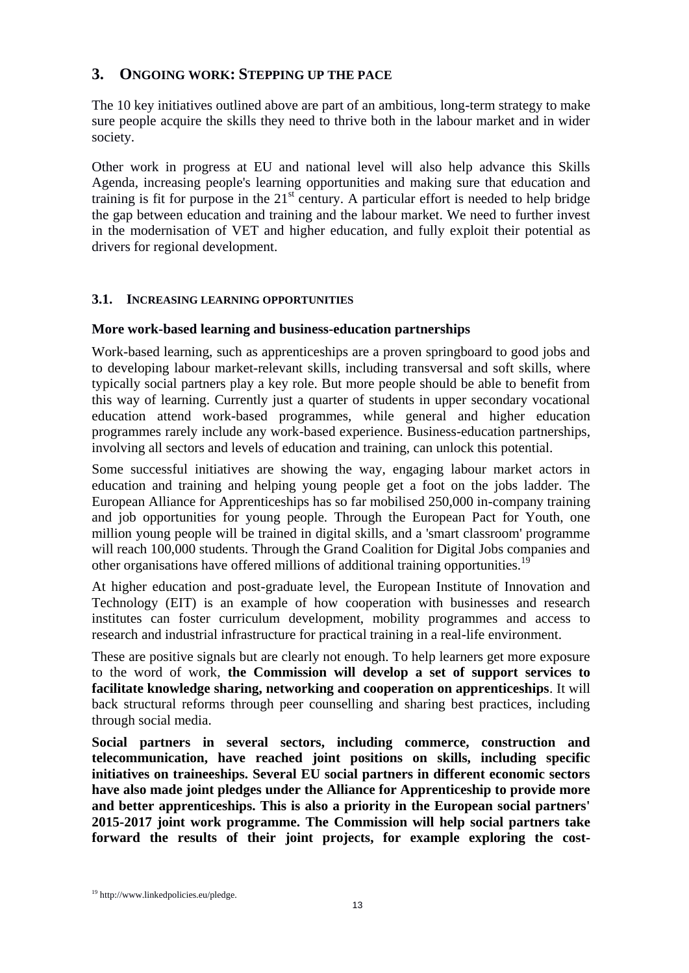# **3. ONGOING WORK: STEPPING UP THE PACE**

The 10 key initiatives outlined above are part of an ambitious, long-term strategy to make sure people acquire the skills they need to thrive both in the labour market and in wider society.

Other work in progress at EU and national level will also help advance this Skills Agenda, increasing people's learning opportunities and making sure that education and training is fit for purpose in the  $21<sup>st</sup>$  century. A particular effort is needed to help bridge the gap between education and training and the labour market. We need to further invest in the modernisation of VET and higher education, and fully exploit their potential as drivers for regional development.

## **3.1. INCREASING LEARNING OPPORTUNITIES**

### **More work-based learning and business-education partnerships**

Work-based learning, such as apprenticeships are a proven springboard to good jobs and to developing labour market-relevant skills, including transversal and soft skills, where typically social partners play a key role. But more people should be able to benefit from this way of learning. Currently just a quarter of students in upper secondary vocational education attend work-based programmes, while general and higher education programmes rarely include any work-based experience. Business-education partnerships, involving all sectors and levels of education and training, can unlock this potential.

Some successful initiatives are showing the way, engaging labour market actors in education and training and helping young people get a foot on the jobs ladder. The European Alliance for Apprenticeships has so far mobilised 250,000 in-company training and job opportunities for young people. Through the European Pact for Youth, one million young people will be trained in digital skills, and a 'smart classroom' programme will reach 100,000 students. Through the Grand Coalition for Digital Jobs companies and other organisations have offered millions of additional training opportunities.<sup>19</sup>

At higher education and post-graduate level, the European Institute of Innovation and Technology (EIT) is an example of how cooperation with businesses and research institutes can foster curriculum development, mobility programmes and access to research and industrial infrastructure for practical training in a real-life environment.

These are positive signals but are clearly not enough. To help learners get more exposure to the word of work, **the Commission will develop a set of support services to facilitate knowledge sharing, networking and cooperation on apprenticeships**. It will back structural reforms through peer counselling and sharing best practices, including through social media.

**Social partners in several sectors, including commerce, construction and telecommunication, have reached joint positions on skills, including specific initiatives on traineeships. Several EU social partners in different economic sectors have also made joint pledges under the Alliance for Apprenticeship to provide more and better apprenticeships. This is also a priority in the European social partners' 2015-2017 joint work programme. The Commission will help social partners take forward the results of their joint projects, for example exploring the cost-**

<sup>19</sup> http://www.linkedpolicies.eu/pledge.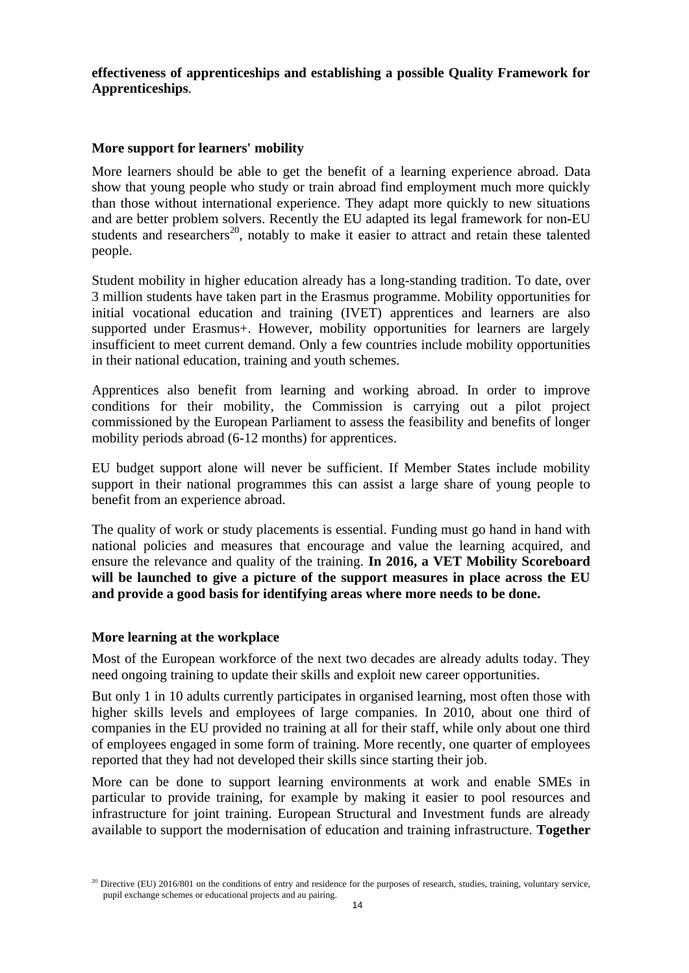**effectiveness of apprenticeships and establishing a possible Quality Framework for Apprenticeships**.

### **More support for learners' mobility**

More learners should be able to get the benefit of a learning experience abroad. Data show that young people who study or train abroad find employment much more quickly than those without international experience. They adapt more quickly to new situations and are better problem solvers. Recently the EU adapted its legal framework for non-EU students and researchers<sup>20</sup>, notably to make it easier to attract and retain these talented people.

Student mobility in higher education already has a long-standing tradition. To date, over 3 million students have taken part in the Erasmus programme. Mobility opportunities for initial vocational education and training (IVET) apprentices and learners are also supported under Erasmus+. However, mobility opportunities for learners are largely insufficient to meet current demand. Only a few countries include mobility opportunities in their national education, training and youth schemes.

Apprentices also benefit from learning and working abroad. In order to improve conditions for their mobility, the Commission is carrying out a pilot project commissioned by the European Parliament to assess the feasibility and benefits of longer mobility periods abroad (6-12 months) for apprentices.

EU budget support alone will never be sufficient. If Member States include mobility support in their national programmes this can assist a large share of young people to benefit from an experience abroad.

The quality of work or study placements is essential. Funding must go hand in hand with national policies and measures that encourage and value the learning acquired, and ensure the relevance and quality of the training. **In 2016, a VET Mobility Scoreboard will be launched to give a picture of the support measures in place across the EU and provide a good basis for identifying areas where more needs to be done.** 

#### **More learning at the workplace**

Most of the European workforce of the next two decades are already adults today. They need ongoing training to update their skills and exploit new career opportunities.

But only 1 in 10 adults currently participates in organised learning, most often those with higher skills levels and employees of large companies. In 2010, about one third of companies in the EU provided no training at all for their staff, while only about one third of employees engaged in some form of training. More recently, one quarter of employees reported that they had not developed their skills since starting their job.

More can be done to support learning environments at work and enable SMEs in particular to provide training, for example by making it easier to pool resources and infrastructure for joint training. European Structural and Investment funds are already available to support the modernisation of education and training infrastructure. **Together** 

<sup>&</sup>lt;sup>20</sup> Directive (EU) 2016/801 on the conditions of entry and residence for the purposes of research, studies, training, voluntary service, pupil exchange schemes or educational projects and au pairing.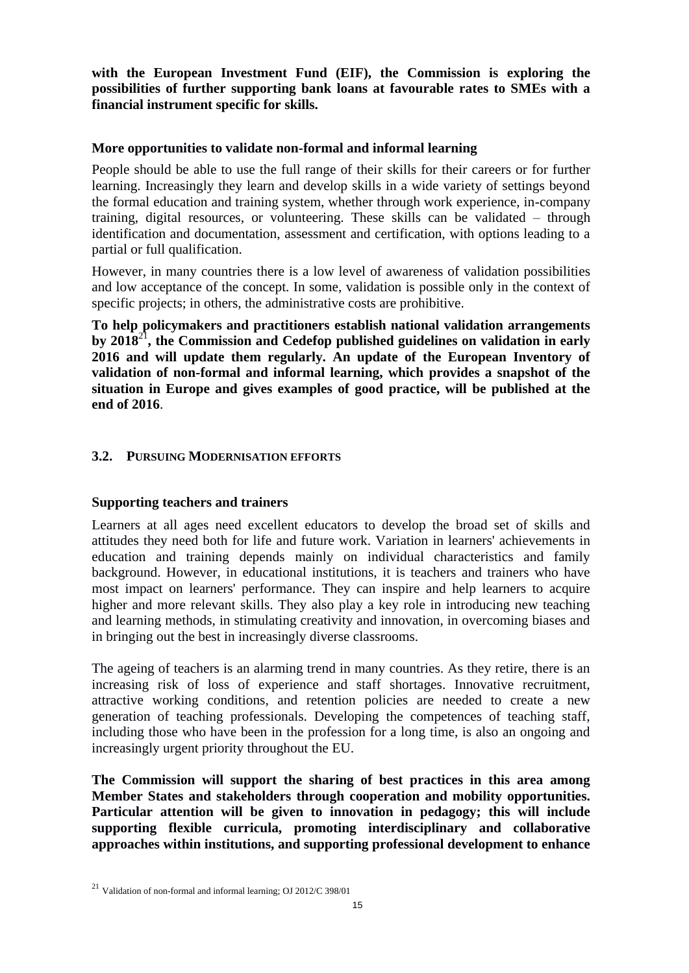**with the European Investment Fund (EIF), the Commission is exploring the possibilities of further supporting bank loans at favourable rates to SMEs with a financial instrument specific for skills.** 

### **More opportunities to validate non-formal and informal learning**

People should be able to use the full range of their skills for their careers or for further learning. Increasingly they learn and develop skills in a wide variety of settings beyond the formal education and training system, whether through work experience, in-company training, digital resources, or volunteering. These skills can be validated – through identification and documentation, assessment and certification, with options leading to a partial or full qualification.

However, in many countries there is a low level of awareness of validation possibilities and low acceptance of the concept. In some, validation is possible only in the context of specific projects; in others, the administrative costs are prohibitive.

**To help policymakers and practitioners establish national validation arrangements by 2018**<sup>21</sup>**, the Commission and Cedefop published guidelines on validation in early 2016 and will update them regularly. An update of the European Inventory of validation of non-formal and informal learning, which provides a snapshot of the situation in Europe and gives examples of good practice, will be published at the end of 2016**.

## **3.2. PURSUING MODERNISATION EFFORTS**

## **Supporting teachers and trainers**

Learners at all ages need excellent educators to develop the broad set of skills and attitudes they need both for life and future work. Variation in learners' achievements in education and training depends mainly on individual characteristics and family background. However, in educational institutions, it is teachers and trainers who have most impact on learners' performance. They can inspire and help learners to acquire higher and more relevant skills. They also play a key role in introducing new teaching and learning methods, in stimulating creativity and innovation, in overcoming biases and in bringing out the best in increasingly diverse classrooms.

The ageing of teachers is an alarming trend in many countries. As they retire, there is an increasing risk of loss of experience and staff shortages. Innovative recruitment, attractive working conditions, and retention policies are needed to create a new generation of teaching professionals. Developing the competences of teaching staff, including those who have been in the profession for a long time, is also an ongoing and increasingly urgent priority throughout the EU.

**The Commission will support the sharing of best practices in this area among Member States and stakeholders through cooperation and mobility opportunities. Particular attention will be given to innovation in pedagogy; this will include supporting flexible curricula, promoting interdisciplinary and collaborative approaches within institutions, and supporting professional development to enhance** 

<sup>21</sup> Validation of non-formal and informal learning; OJ 2012/C 398/01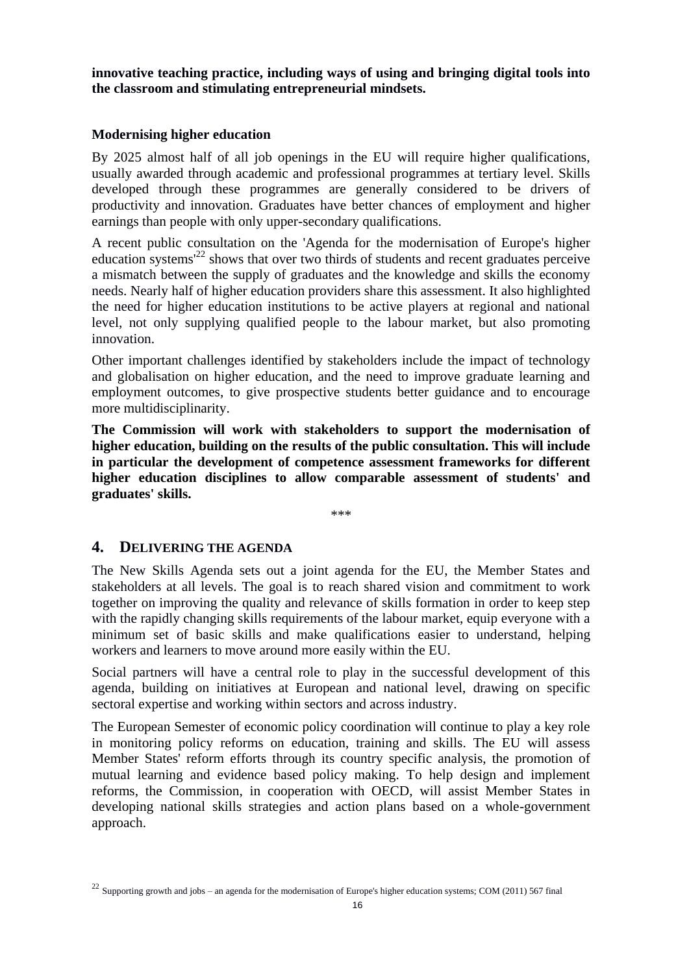**innovative teaching practice, including ways of using and bringing digital tools into the classroom and stimulating entrepreneurial mindsets.** 

### **Modernising higher education**

By 2025 almost half of all job openings in the EU will require higher qualifications, usually awarded through academic and professional programmes at tertiary level. Skills developed through these programmes are generally considered to be drivers of productivity and innovation. Graduates have better chances of employment and higher earnings than people with only upper-secondary qualifications.

A recent public consultation on the 'Agenda for the modernisation of Europe's higher education systems<sup> $22$ </sup> shows that over two thirds of students and recent graduates perceive a mismatch between the supply of graduates and the knowledge and skills the economy needs. Nearly half of higher education providers share this assessment. It also highlighted the need for higher education institutions to be active players at regional and national level, not only supplying qualified people to the labour market, but also promoting innovation.

Other important challenges identified by stakeholders include the impact of technology and globalisation on higher education, and the need to improve graduate learning and employment outcomes, to give prospective students better guidance and to encourage more multidisciplinarity.

**The Commission will work with stakeholders to support the modernisation of higher education, building on the results of the public consultation. This will include in particular the development of competence assessment frameworks for different higher education disciplines to allow comparable assessment of students' and graduates' skills.**

\*\*\*

## **4. DELIVERING THE AGENDA**

The New Skills Agenda sets out a joint agenda for the EU, the Member States and stakeholders at all levels. The goal is to reach shared vision and commitment to work together on improving the quality and relevance of skills formation in order to keep step with the rapidly changing skills requirements of the labour market, equip everyone with a minimum set of basic skills and make qualifications easier to understand, helping workers and learners to move around more easily within the EU.

Social partners will have a central role to play in the successful development of this agenda, building on initiatives at European and national level, drawing on specific sectoral expertise and working within sectors and across industry.

The European Semester of economic policy coordination will continue to play a key role in monitoring policy reforms on education, training and skills. The EU will assess Member States' reform efforts through its country specific analysis, the promotion of mutual learning and evidence based policy making. To help design and implement reforms, the Commission, in cooperation with OECD, will assist Member States in developing national skills strategies and action plans based on a whole-government approach.

 $^{22}$  Supporting growth and jobs – an agenda for the modernisation of Europe's higher education systems; COM (2011) 567 final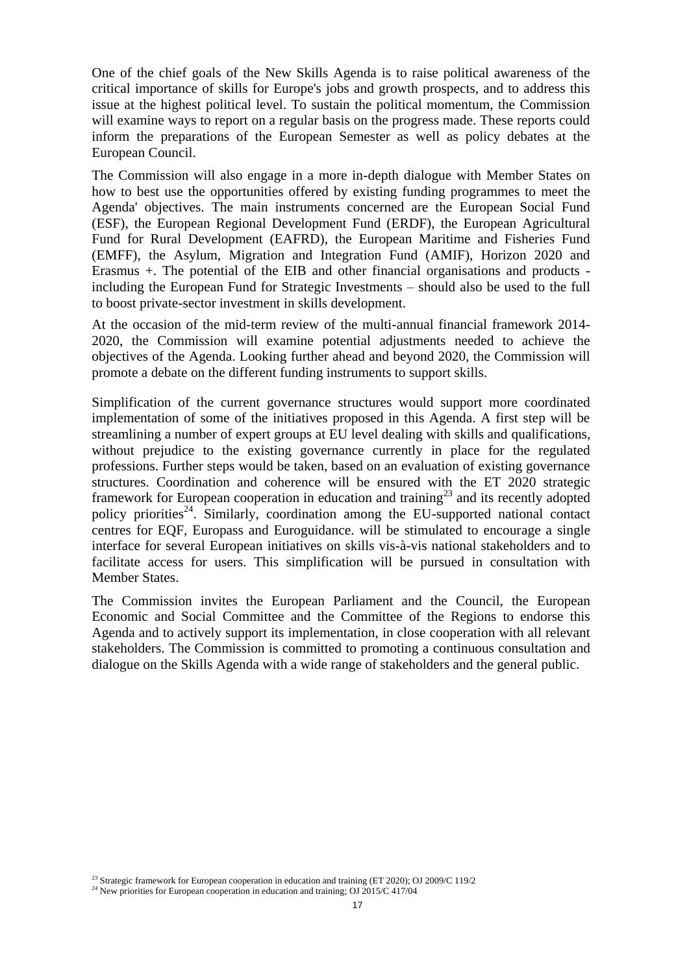One of the chief goals of the New Skills Agenda is to raise political awareness of the critical importance of skills for Europe's jobs and growth prospects, and to address this issue at the highest political level. To sustain the political momentum, the Commission will examine ways to report on a regular basis on the progress made. These reports could inform the preparations of the European Semester as well as policy debates at the European Council.

The Commission will also engage in a more in-depth dialogue with Member States on how to best use the opportunities offered by existing funding programmes to meet the Agenda' objectives. The main instruments concerned are the European Social Fund (ESF), the European Regional Development Fund (ERDF), the European Agricultural Fund for Rural Development (EAFRD), the European Maritime and Fisheries Fund (EMFF), the Asylum, Migration and Integration Fund (AMIF), Horizon 2020 and Erasmus +. The potential of the EIB and other financial organisations and products including the European Fund for Strategic Investments – should also be used to the full to boost private-sector investment in skills development.

At the occasion of the mid-term review of the multi-annual financial framework 2014- 2020, the Commission will examine potential adjustments needed to achieve the objectives of the Agenda. Looking further ahead and beyond 2020, the Commission will promote a debate on the different funding instruments to support skills.

Simplification of the current governance structures would support more coordinated implementation of some of the initiatives proposed in this Agenda. A first step will be streamlining a number of expert groups at EU level dealing with skills and qualifications, without prejudice to the existing governance currently in place for the regulated professions. Further steps would be taken, based on an evaluation of existing governance structures. Coordination and coherence will be ensured with the ET 2020 strategic framework for European cooperation in education and training<sup>23</sup> and its recently adopted policy priorities<sup>24</sup>. Similarly, coordination among the EU-supported national contact centres for EQF, Europass and Euroguidance. will be stimulated to encourage a single interface for several European initiatives on skills vis-à-vis national stakeholders and to facilitate access for users. This simplification will be pursued in consultation with Member States.

The Commission invites the European Parliament and the Council, the European Economic and Social Committee and the Committee of the Regions to endorse this Agenda and to actively support its implementation, in close cooperation with all relevant stakeholders. The Commission is committed to promoting a continuous consultation and dialogue on the Skills Agenda with a wide range of stakeholders and the general public.

<sup>&</sup>lt;sup>23</sup> Strategic framework for European cooperation in education and training (ET 2020); OJ 2009/C 119/2

<sup>&</sup>lt;sup>24</sup> New priorities for European cooperation in education and training; OJ 2015/C 417/04